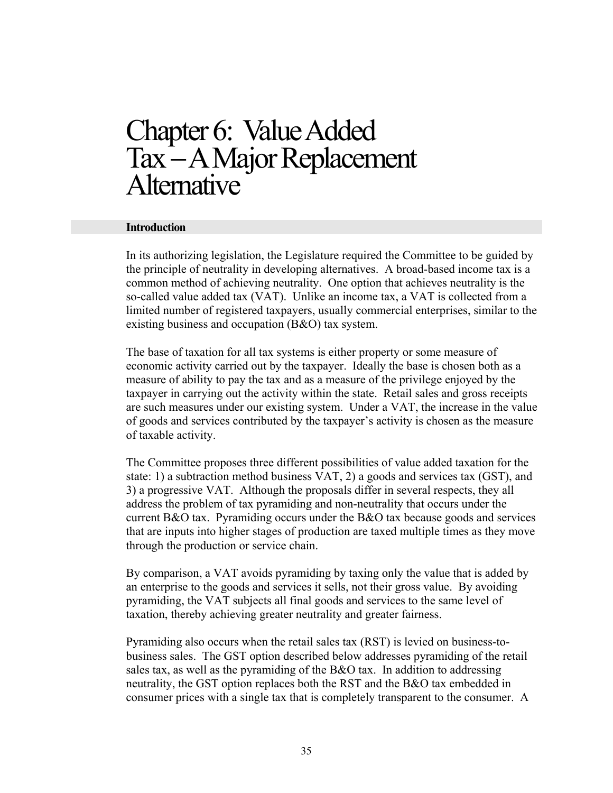# Chapter 6: Value Added Tax – A Major Replacement<br>Alternative

#### **Introduction**

In its authorizing legislation, the Legislature required the Committee to be guided by the principle of neutrality in developing alternatives. A broad-based income tax is a common method of achieving neutrality. One option that achieves neutrality is the so-called value added tax (VAT). Unlike an income tax, a VAT is collected from a limited number of registered taxpayers, usually commercial enterprises, similar to the existing business and occupation (B&O) tax system.

The base of taxation for all tax systems is either property or some measure of economic activity carried out by the taxpayer. Ideally the base is chosen both as a measure of ability to pay the tax and as a measure of the privilege enjoyed by the taxpayer in carrying out the activity within the state. Retail sales and gross receipts are such measures under our existing system. Under a VAT, the increase in the value of goods and services contributed by the taxpayer's activity is chosen as the measure of taxable activity.

The Committee proposes three different possibilities of value added taxation for the state: 1) a subtraction method business VAT, 2) a goods and services tax (GST), and 3) a progressive VAT. Although the proposals differ in several respects, they all address the problem of tax pyramiding and non-neutrality that occurs under the current B&O tax. Pyramiding occurs under the B&O tax because goods and services that are inputs into higher stages of production are taxed multiple times as they move through the production or service chain.

By comparison, a VAT avoids pyramiding by taxing only the value that is added by an enterprise to the goods and services it sells, not their gross value. By avoiding pyramiding, the VAT subjects all final goods and services to the same level of taxation, thereby achieving greater neutrality and greater fairness.

Pyramiding also occurs when the retail sales tax (RST) is levied on business-tobusiness sales. The GST option described below addresses pyramiding of the retail sales tax, as well as the pyramiding of the B&O tax. In addition to addressing neutrality, the GST option replaces both the RST and the B&O tax embedded in consumer prices with a single tax that is completely transparent to the consumer. A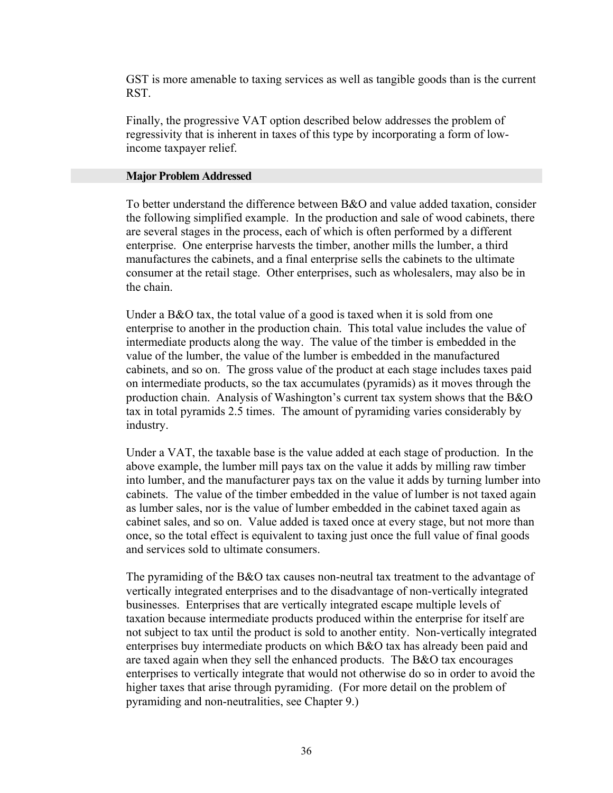GST is more amenable to taxing services as well as tangible goods than is the current RST.

Finally, the progressive VAT option described below addresses the problem of regressivity that is inherent in taxes of this type by incorporating a form of lowincome taxpayer relief.

#### **Major Problem Addressed**

To better understand the difference between B&O and value added taxation, consider the following simplified example. In the production and sale of wood cabinets, there are several stages in the process, each of which is often performed by a different enterprise. One enterprise harvests the timber, another mills the lumber, a third manufactures the cabinets, and a final enterprise sells the cabinets to the ultimate consumer at the retail stage. Other enterprises, such as wholesalers, may also be in the chain.

Under a B&O tax, the total value of a good is taxed when it is sold from one enterprise to another in the production chain. This total value includes the value of intermediate products along the way. The value of the timber is embedded in the value of the lumber, the value of the lumber is embedded in the manufactured cabinets, and so on. The gross value of the product at each stage includes taxes paid on intermediate products, so the tax accumulates (pyramids) as it moves through the production chain. Analysis of Washington's current tax system shows that the B&O tax in total pyramids 2.5 times. The amount of pyramiding varies considerably by industry.

Under a VAT, the taxable base is the value added at each stage of production. In the above example, the lumber mill pays tax on the value it adds by milling raw timber into lumber, and the manufacturer pays tax on the value it adds by turning lumber into cabinets. The value of the timber embedded in the value of lumber is not taxed again as lumber sales, nor is the value of lumber embedded in the cabinet taxed again as cabinet sales, and so on. Value added is taxed once at every stage, but not more than once, so the total effect is equivalent to taxing just once the full value of final goods and services sold to ultimate consumers.

The pyramiding of the B&O tax causes non-neutral tax treatment to the advantage of vertically integrated enterprises and to the disadvantage of non-vertically integrated businesses. Enterprises that are vertically integrated escape multiple levels of taxation because intermediate products produced within the enterprise for itself are not subject to tax until the product is sold to another entity. Non-vertically integrated enterprises buy intermediate products on which B&O tax has already been paid and are taxed again when they sell the enhanced products. The B&O tax encourages enterprises to vertically integrate that would not otherwise do so in order to avoid the higher taxes that arise through pyramiding. (For more detail on the problem of pyramiding and non-neutralities, see Chapter 9.)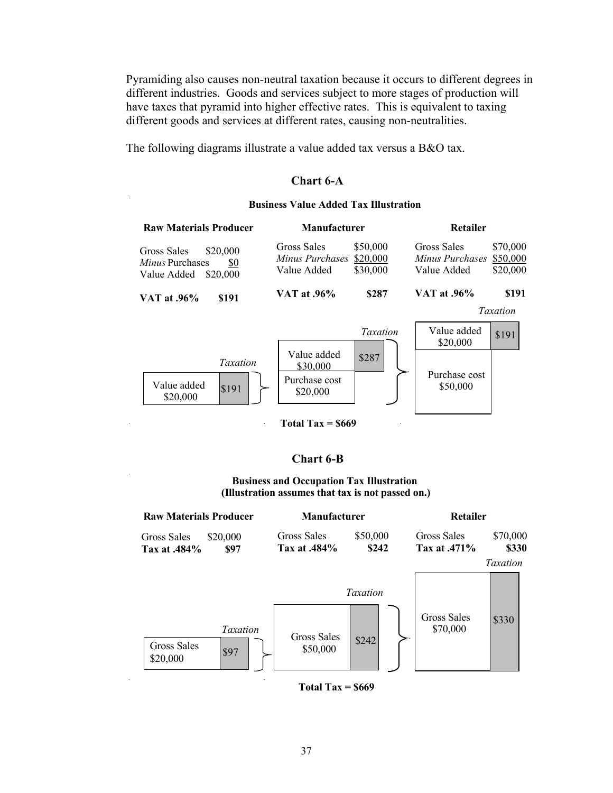Pyramiding also causes non-neutral taxation because it occurs to different degrees in different industries. Goods and services subject to more stages of production will have taxes that pyramid into higher effective rates. This is equivalent to taxing different goods and services at different rates, causing non-neutralities.

The following diagrams illustrate a value added tax versus a B&O tax.

## **Chart 6-A**

#### **Business Value Added Tax Illustration**

|                            |                                  | Retailer                                      |                                  |
|----------------------------|----------------------------------|-----------------------------------------------|----------------------------------|
| Gross Sales<br>Value Added | \$50,000<br>\$20,000<br>\$30,000 | Gross Sales<br>Minus Purchases<br>Value Added | \$70,000<br>\$50,000<br>\$20,000 |
| <b>VAT at .96%</b>         | \$287                            | VAT at .96%                                   | \$191<br><b>Taxation</b>         |
|                            |                                  |                                               |                                  |
|                            | Taxation                         | Value added<br>\$20,000                       | \$191                            |
| Value added<br>\$30,000    | \$287                            |                                               |                                  |
| Purchase cost<br>\$20,000  |                                  | \$50,000                                      |                                  |
|                            |                                  | <b>Manufacturer</b><br>Minus Purchases        | Purchase cost                    |

**Total Tax = \$669**

# **Chart 6-B**

#### **Business and Occupation Tax Illustration (Illustration assumes that tax is not passed on.)**



**Total Tax = \$669**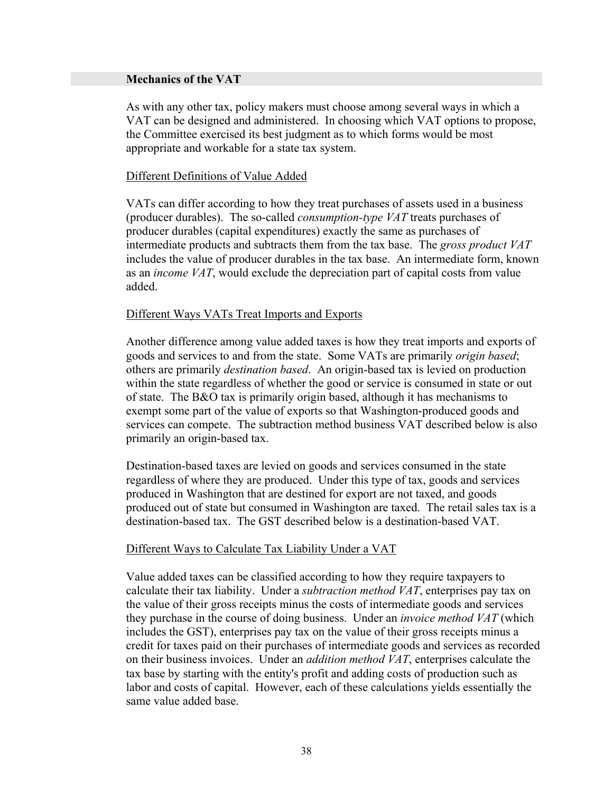## **Mechanics of the VAT**

As with any other tax, policy makers must choose among several ways in which a VAT can be designed and administered. In choosing which VAT options to propose, the Committee exercised its best judgment as to which forms would be most appropriate and workable for a state tax system.

# Different Definitions of Value Added

VATs can differ according to how they treat purchases of assets used in a business (producer durables). The so-called *consumption-type VAT* treats purchases of producer durables (capital expenditures) exactly the same as purchases of intermediate products and subtracts them from the tax base. The *gross product VAT* includes the value of producer durables in the tax base. An intermediate form, known as an *income VAT*, would exclude the depreciation part of capital costs from value added.

# Different Ways VATs Treat Imports and Exports

Another difference among value added taxes is how they treat imports and exports of goods and services to and from the state. Some VATs are primarily *origin based*; others are primarily *destination based*. An origin-based tax is levied on production within the state regardless of whether the good or service is consumed in state or out of state. The B&O tax is primarily origin based, although it has mechanisms to exempt some part of the value of exports so that Washington-produced goods and services can compete. The subtraction method business VAT described below is also primarily an origin-based tax.

Destination-based taxes are levied on goods and services consumed in the state regardless of where they are produced. Under this type of tax, goods and services produced in Washington that are destined for export are not taxed, and goods produced out of state but consumed in Washington are taxed. The retail sales tax is a destination-based tax. The GST described below is a destination-based VAT.

# Different Ways to Calculate Tax Liability Under a VAT

Value added taxes can be classified according to how they require taxpayers to calculate their tax liability. Under a *subtraction method VAT*, enterprises pay tax on the value of their gross receipts minus the costs of intermediate goods and services they purchase in the course of doing business. Under an *invoice method VAT* (which includes the GST), enterprises pay tax on the value of their gross receipts minus a credit for taxes paid on their purchases of intermediate goods and services as recorded on their business invoices. Under an *addition method VAT*, enterprises calculate the tax base by starting with the entity's profit and adding costs of production such as labor and costs of capital. However, each of these calculations yields essentially the same value added base.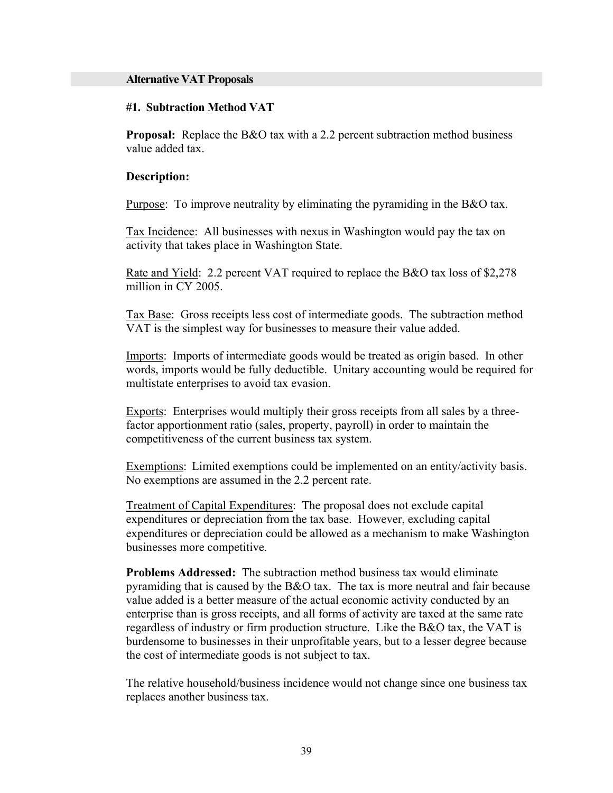#### **Alternative VAT Proposals**

#### **#1. Subtraction Method VAT**

**Proposal:** Replace the B&O tax with a 2.2 percent subtraction method business value added tax.

#### **Description:**

Purpose: To improve neutrality by eliminating the pyramiding in the B&O tax.

Tax Incidence: All businesses with nexus in Washington would pay the tax on activity that takes place in Washington State.

Rate and Yield: 2.2 percent VAT required to replace the B&O tax loss of \$2,278 million in CY 2005.

Tax Base: Gross receipts less cost of intermediate goods. The subtraction method VAT is the simplest way for businesses to measure their value added.

Imports: Imports of intermediate goods would be treated as origin based. In other words, imports would be fully deductible. Unitary accounting would be required for multistate enterprises to avoid tax evasion.

Exports: Enterprises would multiply their gross receipts from all sales by a threefactor apportionment ratio (sales, property, payroll) in order to maintain the competitiveness of the current business tax system.

Exemptions: Limited exemptions could be implemented on an entity/activity basis. No exemptions are assumed in the 2.2 percent rate.

Treatment of Capital Expenditures: The proposal does not exclude capital expenditures or depreciation from the tax base. However, excluding capital expenditures or depreciation could be allowed as a mechanism to make Washington businesses more competitive.

**Problems Addressed:** The subtraction method business tax would eliminate pyramiding that is caused by the B&O tax. The tax is more neutral and fair because value added is a better measure of the actual economic activity conducted by an enterprise than is gross receipts, and all forms of activity are taxed at the same rate regardless of industry or firm production structure. Like the B&O tax, the VAT is burdensome to businesses in their unprofitable years, but to a lesser degree because the cost of intermediate goods is not subject to tax.

The relative household/business incidence would not change since one business tax replaces another business tax.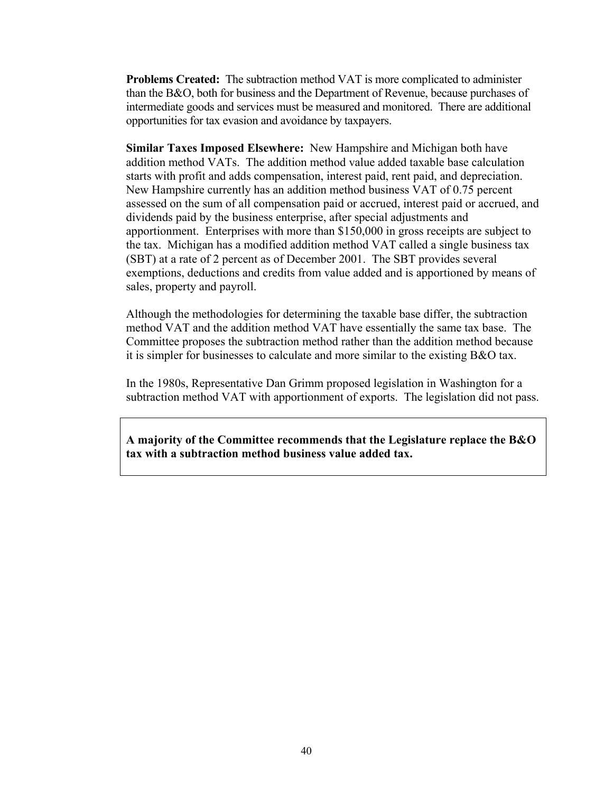**Problems Created:** The subtraction method VAT is more complicated to administer than the B&O, both for business and the Department of Revenue, because purchases of intermediate goods and services must be measured and monitored. There are additional opportunities for tax evasion and avoidance by taxpayers.

**Similar Taxes Imposed Elsewhere:** New Hampshire and Michigan both have addition method VATs. The addition method value added taxable base calculation starts with profit and adds compensation, interest paid, rent paid, and depreciation. New Hampshire currently has an addition method business VAT of 0.75 percent assessed on the sum of all compensation paid or accrued, interest paid or accrued, and dividends paid by the business enterprise, after special adjustments and apportionment. Enterprises with more than \$150,000 in gross receipts are subject to the tax. Michigan has a modified addition method VAT called a single business tax (SBT) at a rate of 2 percent as of December 2001. The SBT provides several exemptions, deductions and credits from value added and is apportioned by means of sales, property and payroll.

Although the methodologies for determining the taxable base differ, the subtraction method VAT and the addition method VAT have essentially the same tax base. The Committee proposes the subtraction method rather than the addition method because it is simpler for businesses to calculate and more similar to the existing B&O tax.

In the 1980s, Representative Dan Grimm proposed legislation in Washington for a subtraction method VAT with apportionment of exports. The legislation did not pass.

**A majority of the Committee recommends that the Legislature replace the B&O tax with a subtraction method business value added tax.**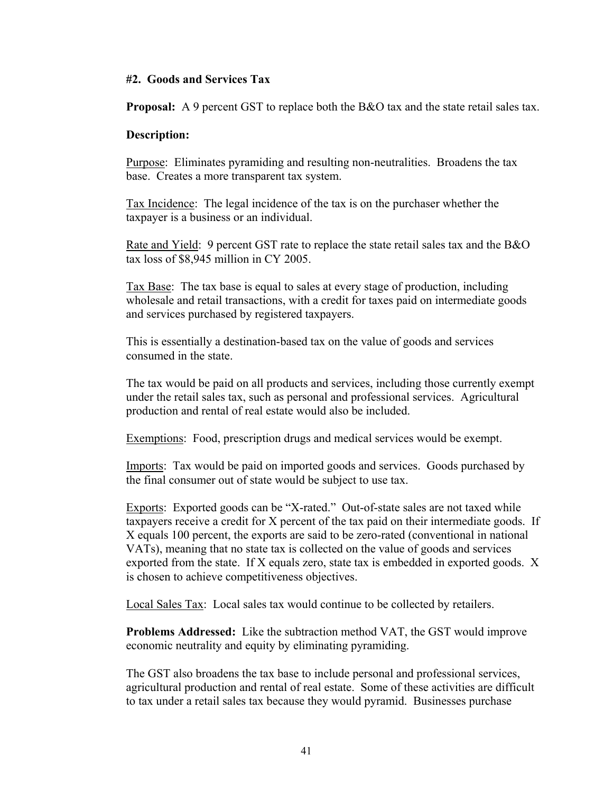# **#2. Goods and Services Tax**

**Proposal:** A 9 percent GST to replace both the B&O tax and the state retail sales tax.

## **Description:**

Purpose: Eliminates pyramiding and resulting non-neutralities. Broadens the tax base. Creates a more transparent tax system.

Tax Incidence: The legal incidence of the tax is on the purchaser whether the taxpayer is a business or an individual.

Rate and Yield: 9 percent GST rate to replace the state retail sales tax and the B&O tax loss of \$8,945 million in CY 2005.

Tax Base: The tax base is equal to sales at every stage of production, including wholesale and retail transactions, with a credit for taxes paid on intermediate goods and services purchased by registered taxpayers.

This is essentially a destination-based tax on the value of goods and services consumed in the state.

The tax would be paid on all products and services, including those currently exempt under the retail sales tax, such as personal and professional services. Agricultural production and rental of real estate would also be included.

Exemptions: Food, prescription drugs and medical services would be exempt.

Imports: Tax would be paid on imported goods and services. Goods purchased by the final consumer out of state would be subject to use tax.

Exports: Exported goods can be "X-rated." Out-of-state sales are not taxed while taxpayers receive a credit for X percent of the tax paid on their intermediate goods. If X equals 100 percent, the exports are said to be zero-rated (conventional in national VATs), meaning that no state tax is collected on the value of goods and services exported from the state. If X equals zero, state tax is embedded in exported goods. X is chosen to achieve competitiveness objectives.

Local Sales Tax: Local sales tax would continue to be collected by retailers.

**Problems Addressed:** Like the subtraction method VAT, the GST would improve economic neutrality and equity by eliminating pyramiding.

The GST also broadens the tax base to include personal and professional services, agricultural production and rental of real estate. Some of these activities are difficult to tax under a retail sales tax because they would pyramid. Businesses purchase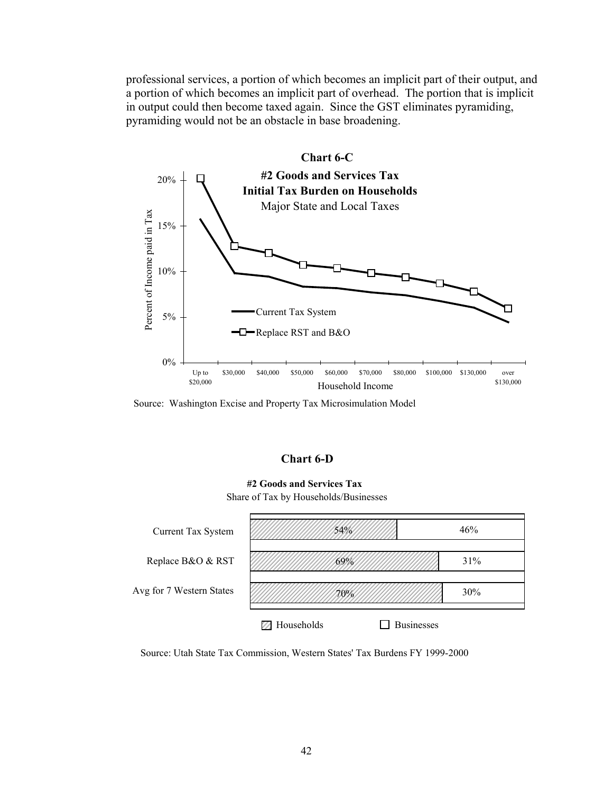professional services, a portion of which becomes an implicit part of their output, and a portion of which becomes an implicit part of overhead. The portion that is implicit in output could then become taxed again. Since the GST eliminates pyramiding, pyramiding would not be an obstacle in base broadening.



Source: Washington Excise and Property Tax Microsimulation Model

### **Chart 6-D**

#### **#2 Goods and Services Tax** Share of Tax by Households/Businesses



Source: Utah State Tax Commission, Western States' Tax Burdens FY 1999-2000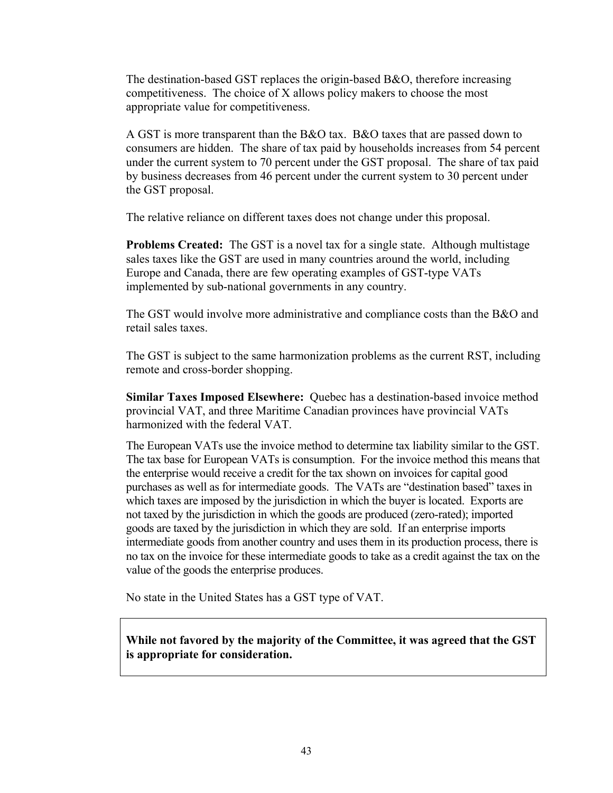The destination-based GST replaces the origin-based B&O, therefore increasing competitiveness. The choice of X allows policy makers to choose the most appropriate value for competitiveness.

A GST is more transparent than the B&O tax. B&O taxes that are passed down to consumers are hidden. The share of tax paid by households increases from 54 percent under the current system to 70 percent under the GST proposal. The share of tax paid by business decreases from 46 percent under the current system to 30 percent under the GST proposal.

The relative reliance on different taxes does not change under this proposal.

**Problems Created:** The GST is a novel tax for a single state. Although multistage sales taxes like the GST are used in many countries around the world, including Europe and Canada, there are few operating examples of GST-type VATs implemented by sub-national governments in any country.

The GST would involve more administrative and compliance costs than the B&O and retail sales taxes.

The GST is subject to the same harmonization problems as the current RST, including remote and cross-border shopping.

**Similar Taxes Imposed Elsewhere:** Quebec has a destination-based invoice method provincial VAT, and three Maritime Canadian provinces have provincial VATs harmonized with the federal VAT.

The European VATs use the invoice method to determine tax liability similar to the GST. The tax base for European VATs is consumption. For the invoice method this means that the enterprise would receive a credit for the tax shown on invoices for capital good purchases as well as for intermediate goods. The VATs are "destination based" taxes in which taxes are imposed by the jurisdiction in which the buyer is located. Exports are not taxed by the jurisdiction in which the goods are produced (zero-rated); imported goods are taxed by the jurisdiction in which they are sold. If an enterprise imports intermediate goods from another country and uses them in its production process, there is no tax on the invoice for these intermediate goods to take as a credit against the tax on the value of the goods the enterprise produces.

No state in the United States has a GST type of VAT.

**While not favored by the majority of the Committee, it was agreed that the GST is appropriate for consideration.**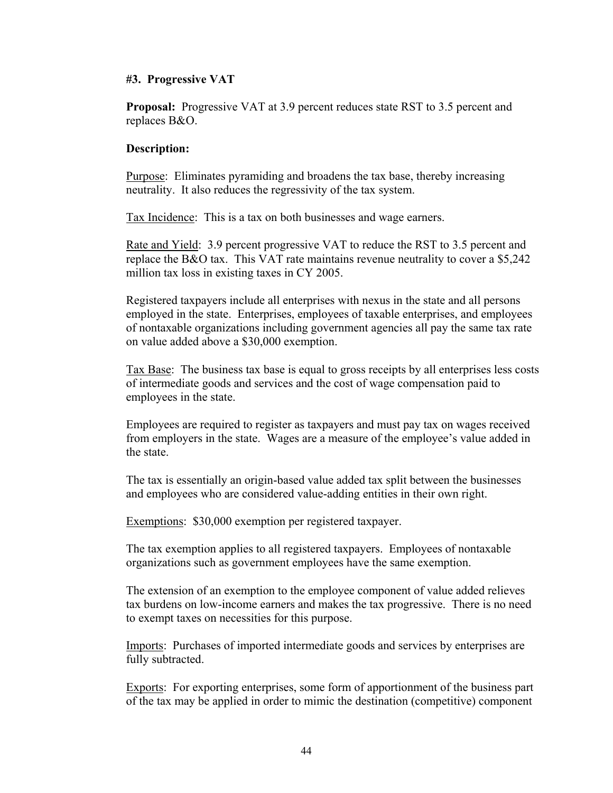# **#3. Progressive VAT**

**Proposal:** Progressive VAT at 3.9 percent reduces state RST to 3.5 percent and replaces B&O.

# **Description:**

Purpose: Eliminates pyramiding and broadens the tax base, thereby increasing neutrality. It also reduces the regressivity of the tax system.

Tax Incidence: This is a tax on both businesses and wage earners.

Rate and Yield: 3.9 percent progressive VAT to reduce the RST to 3.5 percent and replace the B&O tax. This VAT rate maintains revenue neutrality to cover a \$5,242 million tax loss in existing taxes in CY 2005.

Registered taxpayers include all enterprises with nexus in the state and all persons employed in the state. Enterprises, employees of taxable enterprises, and employees of nontaxable organizations including government agencies all pay the same tax rate on value added above a \$30,000 exemption.

Tax Base: The business tax base is equal to gross receipts by all enterprises less costs of intermediate goods and services and the cost of wage compensation paid to employees in the state.

Employees are required to register as taxpayers and must pay tax on wages received from employers in the state. Wages are a measure of the employee's value added in the state.

The tax is essentially an origin-based value added tax split between the businesses and employees who are considered value-adding entities in their own right.

Exemptions: \$30,000 exemption per registered taxpayer.

The tax exemption applies to all registered taxpayers. Employees of nontaxable organizations such as government employees have the same exemption.

The extension of an exemption to the employee component of value added relieves tax burdens on low-income earners and makes the tax progressive. There is no need to exempt taxes on necessities for this purpose.

Imports: Purchases of imported intermediate goods and services by enterprises are fully subtracted.

Exports: For exporting enterprises, some form of apportionment of the business part of the tax may be applied in order to mimic the destination (competitive) component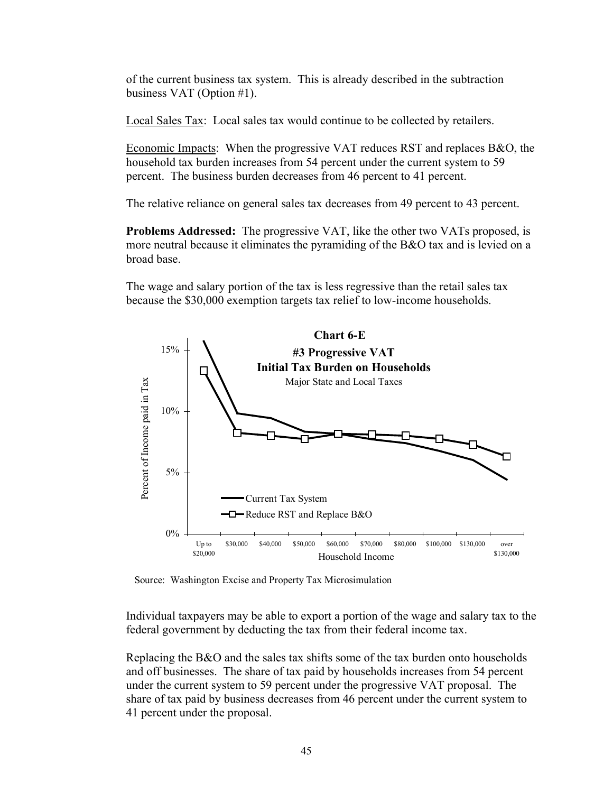of the current business tax system. This is already described in the subtraction business VAT (Option #1).

Local Sales Tax: Local sales tax would continue to be collected by retailers.

Economic Impacts: When the progressive VAT reduces RST and replaces B&O, the household tax burden increases from 54 percent under the current system to 59 percent. The business burden decreases from 46 percent to 41 percent.

The relative reliance on general sales tax decreases from 49 percent to 43 percent.

**Problems Addressed:** The progressive VAT, like the other two VATs proposed, is more neutral because it eliminates the pyramiding of the B&O tax and is levied on a broad base.

The wage and salary portion of the tax is less regressive than the retail sales tax because the \$30,000 exemption targets tax relief to low-income households.



Source: Washington Excise and Property Tax Microsimulation

Individual taxpayers may be able to export a portion of the wage and salary tax to the federal government by deducting the tax from their federal income tax.

Replacing the B&O and the sales tax shifts some of the tax burden onto households and off businesses. The share of tax paid by households increases from 54 percent under the current system to 59 percent under the progressive VAT proposal. The share of tax paid by business decreases from 46 percent under the current system to 41 percent under the proposal.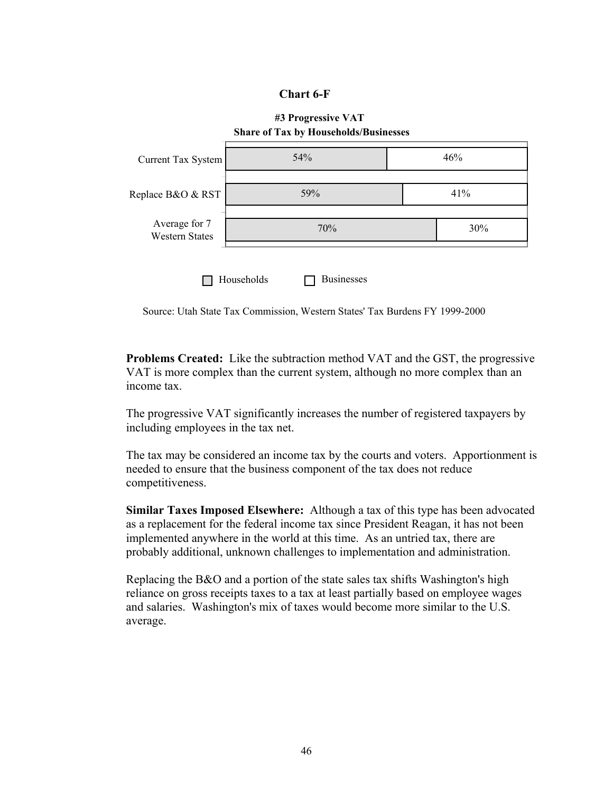# **Chart 6-F**



Source: Utah State Tax Commission, Western States' Tax Burdens FY 1999-2000

**Problems Created:** Like the subtraction method VAT and the GST, the progressive VAT is more complex than the current system, although no more complex than an income tax.

The progressive VAT significantly increases the number of registered taxpayers by including employees in the tax net.

The tax may be considered an income tax by the courts and voters. Apportionment is needed to ensure that the business component of the tax does not reduce competitiveness.

**Similar Taxes Imposed Elsewhere:** Although a tax of this type has been advocated as a replacement for the federal income tax since President Reagan, it has not been implemented anywhere in the world at this time. As an untried tax, there are probably additional, unknown challenges to implementation and administration.

Replacing the B&O and a portion of the state sales tax shifts Washington's high reliance on gross receipts taxes to a tax at least partially based on employee wages and salaries. Washington's mix of taxes would become more similar to the U.S. average.